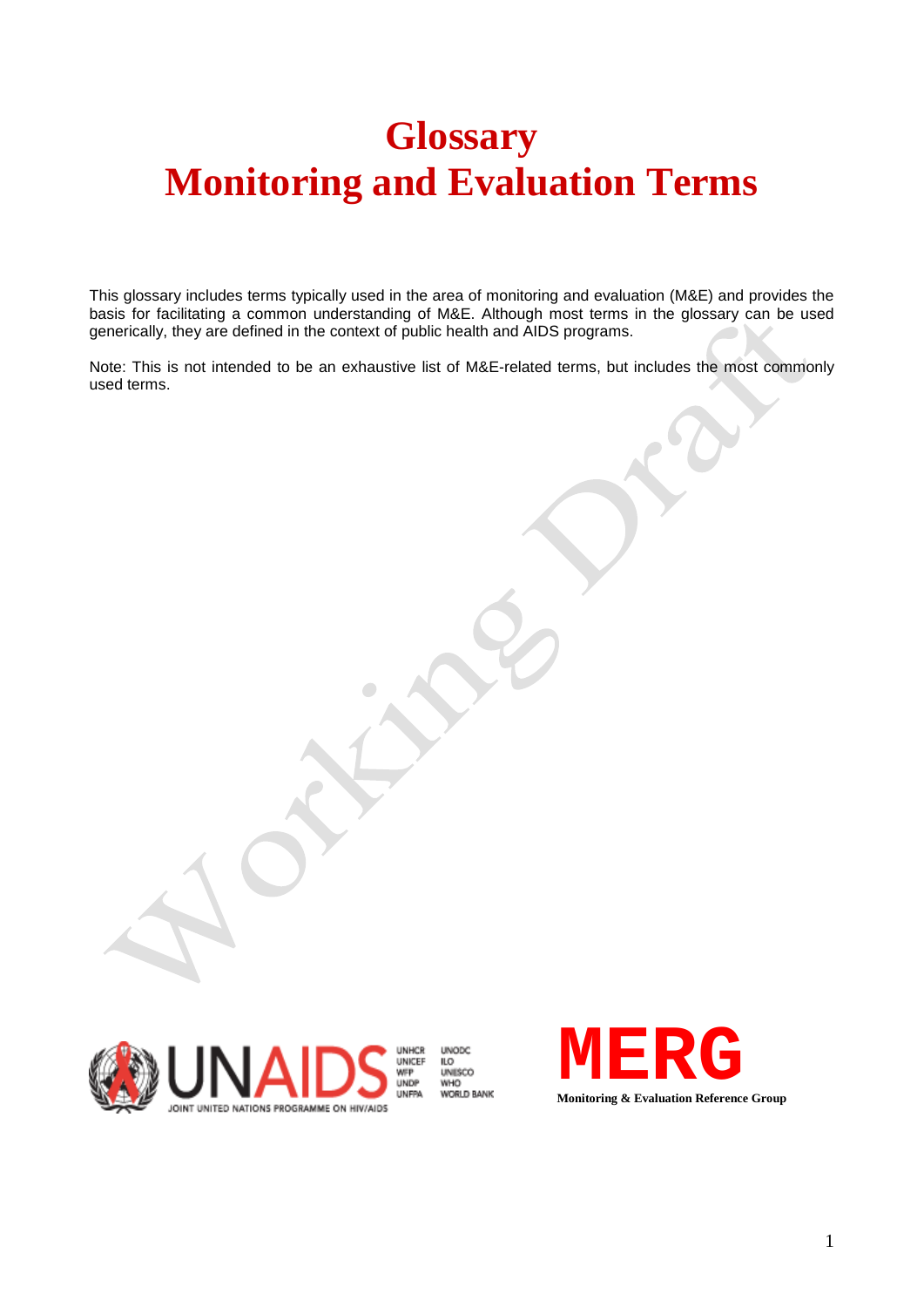## **Glossary Monitoring and Evaluation Terms**

This glossary includes terms typically used in the area of monitoring and evaluation (M&E) and provides the basis for facilitating a common understanding of M&E. Although most terms in the glossary can be used generically, they are defined in the context of public health and AIDS programs.

Note: This is not intended to be an exhaustive list of M&E-related terms, but includes the most commonly used terms.



**UNODC** LO<br>UNISCO **WHO** 

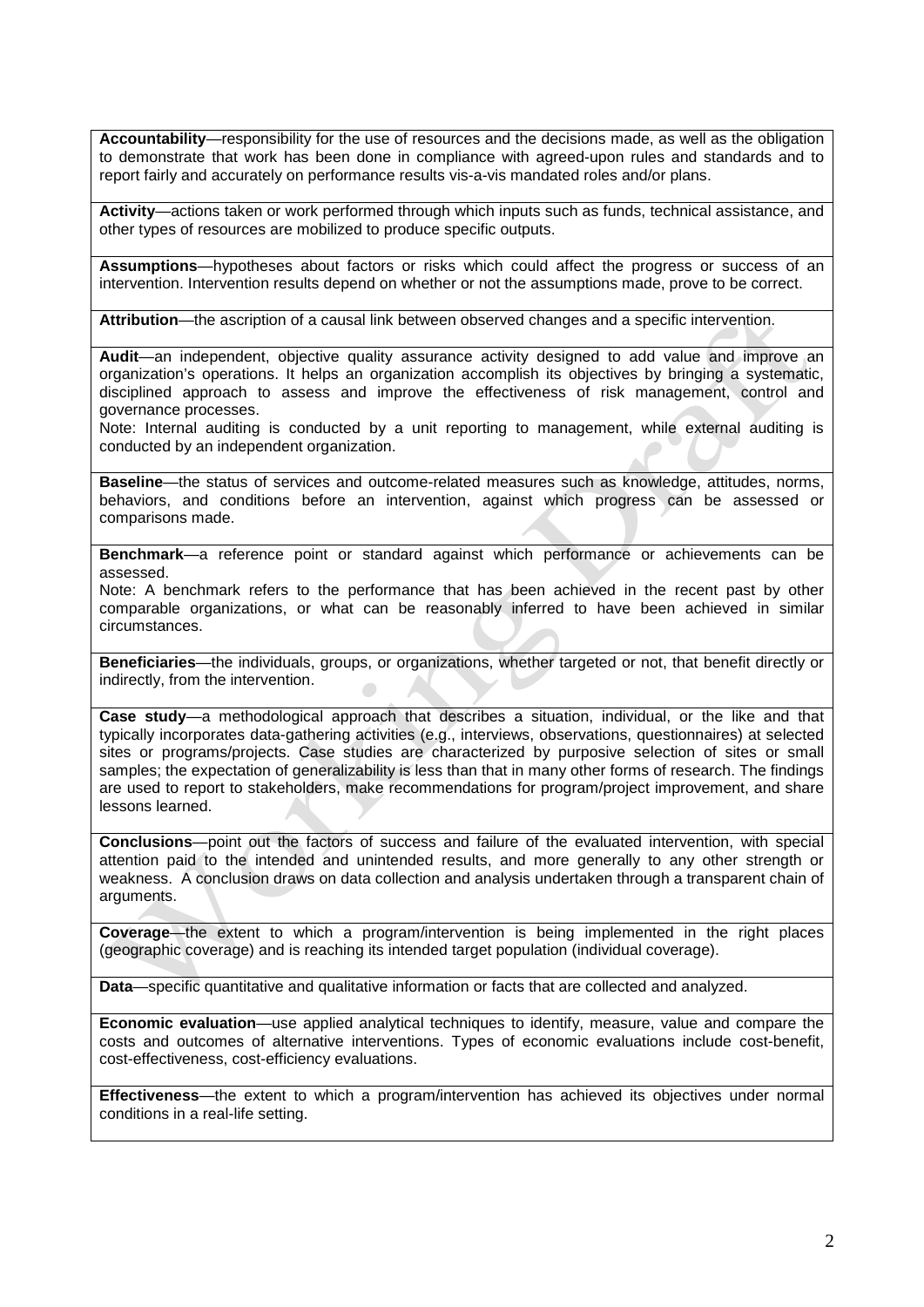**Accountability**—responsibility for the use of resources and the decisions made, as well as the obligation to demonstrate that work has been done in compliance with agreed-upon rules and standards and to report fairly and accurately on performance results vis-a-vis mandated roles and/or plans.

**Activity**—actions taken or work performed through which inputs such as funds, technical assistance, and other types of resources are mobilized to produce specific outputs.

**Assumptions**—hypotheses about factors or risks which could affect the progress or success of an intervention. Intervention results depend on whether or not the assumptions made, prove to be correct.

**Attribution**—the ascription of a causal link between observed changes and a specific intervention.

**Audit**—an independent, objective quality assurance activity designed to add value and improve an organization's operations. It helps an organization accomplish its objectives by bringing a systematic, disciplined approach to assess and improve the effectiveness of risk management, control and governance processes.

Note: Internal auditing is conducted by a unit reporting to management, while external auditing is conducted by an independent organization.

**Baseline**—the status of services and outcome-related measures such as knowledge, attitudes, norms, behaviors, and conditions before an intervention, against which progress can be assessed or comparisons made.

**Benchmark**—a reference point or standard against which performance or achievements can be assessed.

Note: A benchmark refers to the performance that has been achieved in the recent past by other comparable organizations, or what can be reasonably inferred to have been achieved in similar circumstances.

**Beneficiaries**—the individuals, groups, or organizations, whether targeted or not, that benefit directly or indirectly, from the intervention.

**Case study**—a methodological approach that describes a situation, individual, or the like and that typically incorporates data-gathering activities (e.g., interviews, observations, questionnaires) at selected sites or programs/projects. Case studies are characterized by purposive selection of sites or small samples; the expectation of generalizability is less than that in many other forms of research. The findings are used to report to stakeholders, make recommendations for program/project improvement, and share lessons learned.

**Conclusions**—point out the factors of success and failure of the evaluated intervention, with special attention paid to the intended and unintended results, and more generally to any other strength or weakness. A conclusion draws on data collection and analysis undertaken through a transparent chain of arguments.

**Coverage**—the extent to which a program/intervention is being implemented in the right places (geographic coverage) and is reaching its intended target population (individual coverage).

**Data**—specific quantitative and qualitative information or facts that are collected and analyzed.

**Economic evaluation**—use applied analytical techniques to identify, measure, value and compare the costs and outcomes of alternative interventions. Types of economic evaluations include cost-benefit, cost-effectiveness, cost-efficiency evaluations.

**Effectiveness**—the extent to which a program/intervention has achieved its objectives under normal conditions in a real-life setting.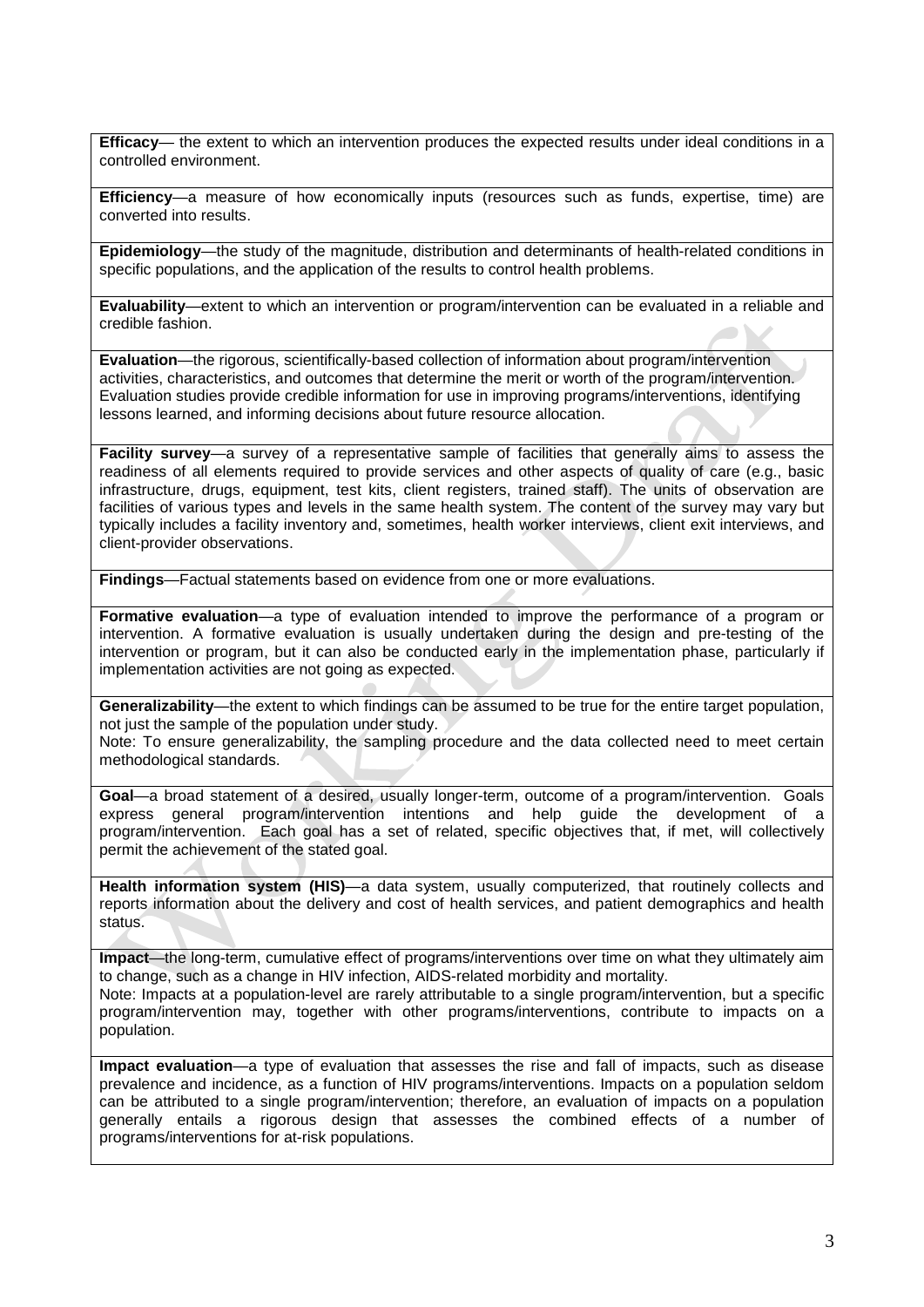**Efficacy**— the extent to which an intervention produces the expected results under ideal conditions in a controlled environment.

**Efficiency**—a measure of how economically inputs (resources such as funds, expertise, time) are converted into results.

**Epidemiology**—the study of the magnitude, distribution and determinants of health-related conditions in specific populations, and the application of the results to control health problems.

**Evaluability**—extent to which an intervention or program/intervention can be evaluated in a reliable and credible fashion.

**Evaluation**—the rigorous, scientifically-based collection of information about program/intervention activities, characteristics, and outcomes that determine the merit or worth of the program/intervention. Evaluation studies provide credible information for use in improving programs/interventions, identifying lessons learned, and informing decisions about future resource allocation.

**Facility survey**—a survey of a representative sample of facilities that generally aims to assess the readiness of all elements required to provide services and other aspects of quality of care (e.g., basic infrastructure, drugs, equipment, test kits, client registers, trained staff). The units of observation are facilities of various types and levels in the same health system. The content of the survey may vary but typically includes a facility inventory and, sometimes, health worker interviews, client exit interviews, and client-provider observations.

**Findings**—Factual statements based on evidence from one or more evaluations.

population.

**Formative evaluation**—a type of evaluation intended to improve the performance of a program or intervention. A formative evaluation is usually undertaken during the design and pre-testing of the intervention or program, but it can also be conducted early in the implementation phase, particularly if implementation activities are not going as expected.

**Generalizability**—the extent to which findings can be assumed to be true for the entire target population, not just the sample of the population under study.

Note: To ensure generalizability, the sampling procedure and the data collected need to meet certain methodological standards.

**Goal**—a broad statement of a desired, usually longer-term, outcome of a program/intervention. Goals express general program/intervention intentions and help guide the development of a program/intervention. Each goal has a set of related, specific objectives that, if met, will collectively permit the achievement of the stated goal.

**Health information system (HIS)**—a data system, usually computerized, that routinely collects and reports information about the delivery and cost of health services, and patient demographics and health status.

**Impact**—the long-term, cumulative effect of programs/interventions over time on what they ultimately aim to change, such as a change in HIV infection, AIDS-related morbidity and mortality. Note: Impacts at a population-level are rarely attributable to a single program/intervention, but a specific program/intervention may, together with other programs/interventions, contribute to impacts on a

**Impact evaluation**—a type of evaluation that assesses the rise and fall of impacts, such as disease prevalence and incidence, as a function of HIV programs/interventions. Impacts on a population seldom can be attributed to a single program/intervention; therefore, an evaluation of impacts on a population generally entails a rigorous design that assesses the combined effects of a number of programs/interventions for at-risk populations.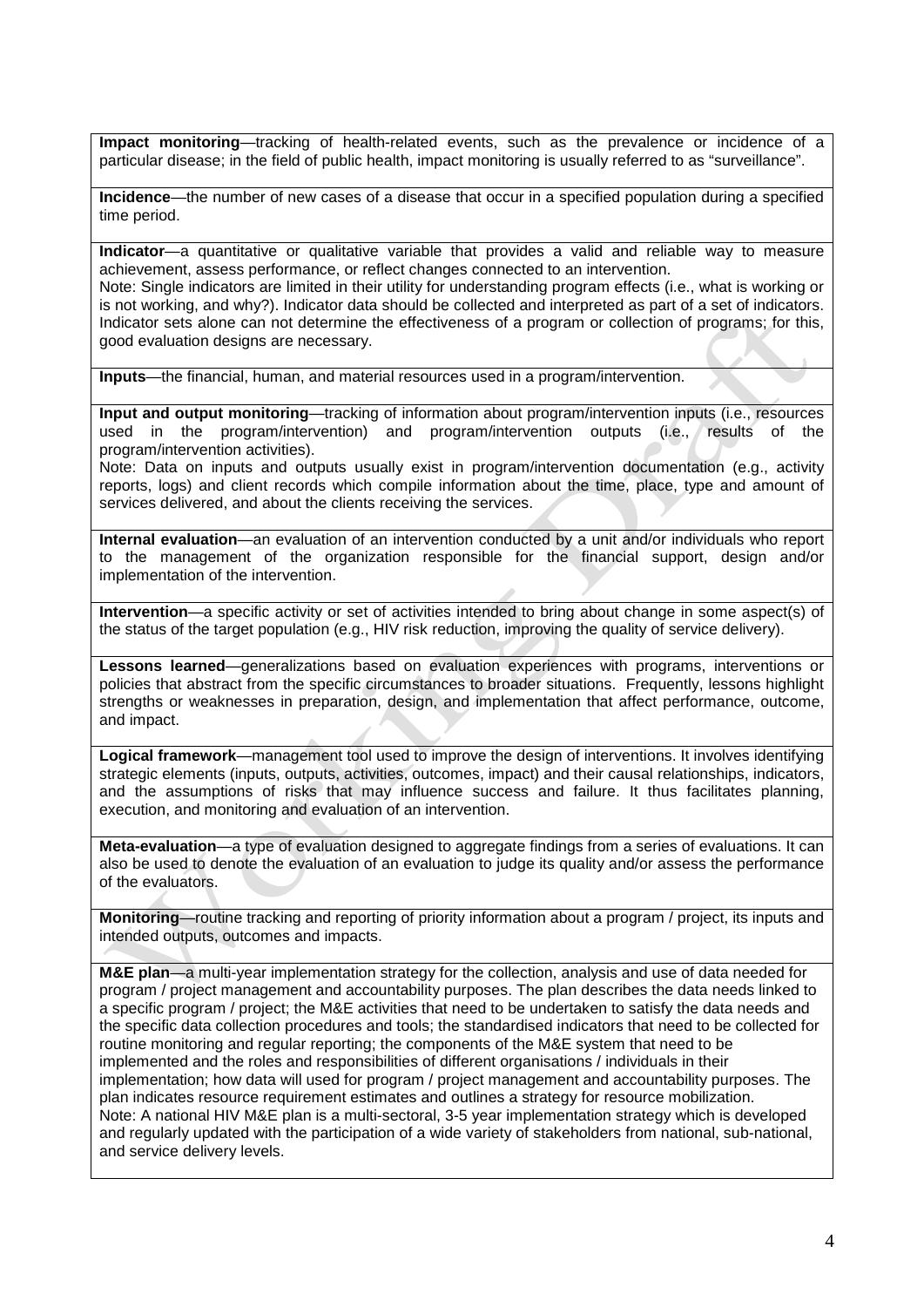**Impact monitoring**—tracking of health-related events, such as the prevalence or incidence of a particular disease; in the field of public health, impact monitoring is usually referred to as "surveillance".

**Incidence**—the number of new cases of a disease that occur in a specified population during a specified time period.

**Indicator**—a quantitative or qualitative variable that provides a valid and reliable way to measure achievement, assess performance, or reflect changes connected to an intervention. Note: Single indicators are limited in their utility for understanding program effects (i.e., what is working or is not working, and why?). Indicator data should be collected and interpreted as part of a set of indicators. Indicator sets alone can not determine the effectiveness of a program or collection of programs; for this,

good evaluation designs are necessary.

**Inputs**—the financial, human, and material resources used in a program/intervention.

**Input and output monitoring**—tracking of information about program/intervention inputs (i.e., resources used in the program/intervention) and program/intervention outputs (i.e., results of the program/intervention activities).

Note: Data on inputs and outputs usually exist in program/intervention documentation (e.g., activity reports, logs) and client records which compile information about the time, place, type and amount of services delivered, and about the clients receiving the services.

**Internal evaluation**—an evaluation of an intervention conducted by a unit and/or individuals who report to the management of the organization responsible for the financial support, design and/or implementation of the intervention.

**Intervention**—a specific activity or set of activities intended to bring about change in some aspect(s) of the status of the target population (e.g., HIV risk reduction, improving the quality of service delivery).

**Lessons learned**—generalizations based on evaluation experiences with programs, interventions or policies that abstract from the specific circumstances to broader situations. Frequently, lessons highlight strengths or weaknesses in preparation, design, and implementation that affect performance, outcome, and impact.

**Logical framework**—management tool used to improve the design of interventions. It involves identifying strategic elements (inputs, outputs, activities, outcomes, impact) and their causal relationships, indicators, and the assumptions of risks that may influence success and failure. It thus facilitates planning, execution, and monitoring and evaluation of an intervention.

**Meta-evaluation—a** type of evaluation designed to aggregate findings from a series of evaluations. It can also be used to denote the evaluation of an evaluation to judge its quality and/or assess the performance of the evaluators.

**Monitoring**—routine tracking and reporting of priority information about a program / project, its inputs and intended outputs, outcomes and impacts.

**M&E plan**—a multi-year implementation strategy for the collection, analysis and use of data needed for program / project management and accountability purposes. The plan describes the data needs linked to a specific program / project; the M&E activities that need to be undertaken to satisfy the data needs and the specific data collection procedures and tools; the standardised indicators that need to be collected for routine monitoring and regular reporting; the components of the M&E system that need to be implemented and the roles and responsibilities of different organisations / individuals in their implementation; how data will used for program / project management and accountability purposes. The plan indicates resource requirement estimates and outlines a strategy for resource mobilization. Note: A national HIV M&E plan is a multi-sectoral, 3-5 year implementation strategy which is developed and regularly updated with the participation of a wide variety of stakeholders from national, sub-national, and service delivery levels.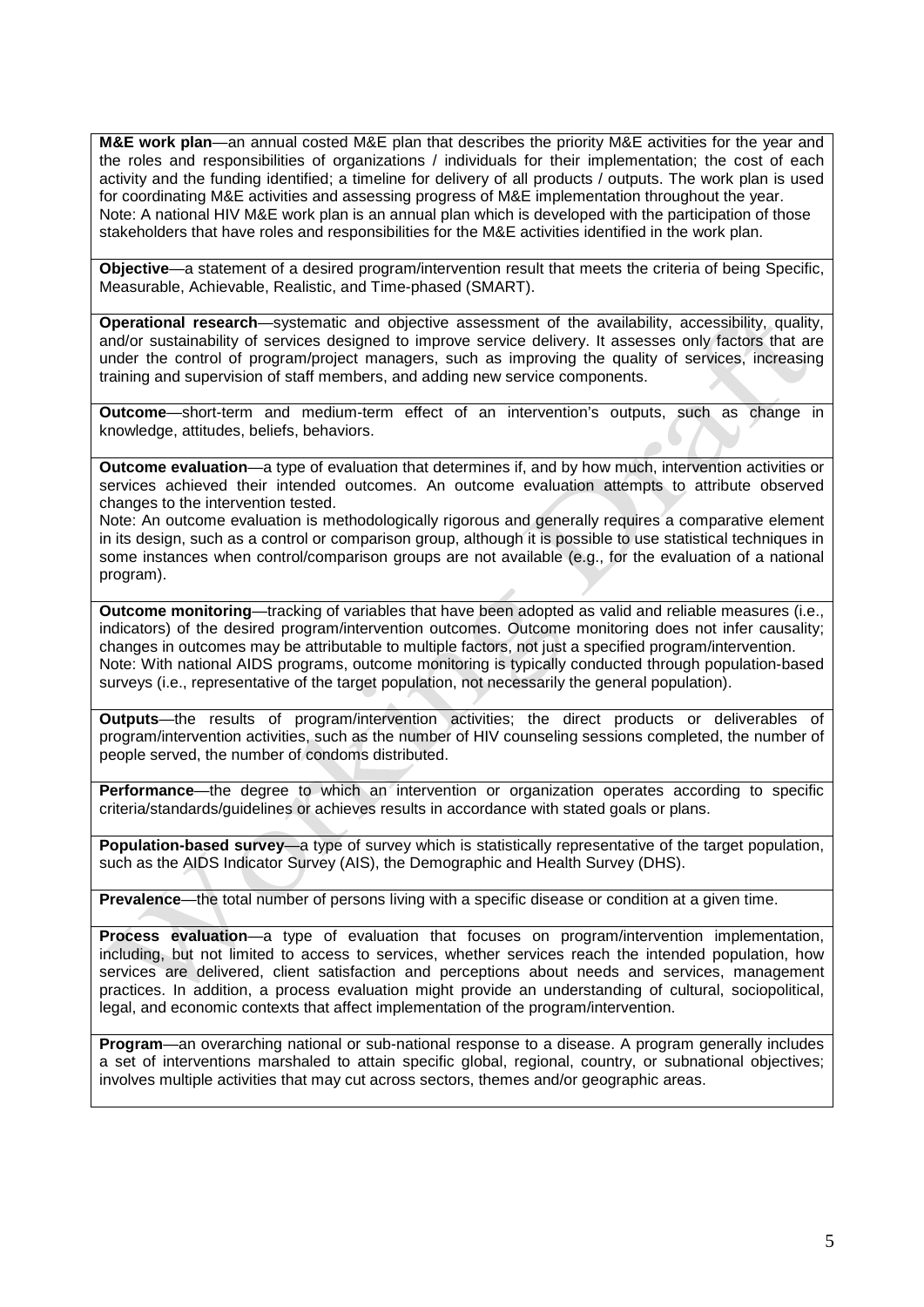**M&E work plan**—an annual costed M&E plan that describes the priority M&E activities for the year and the roles and responsibilities of organizations / individuals for their implementation; the cost of each activity and the funding identified; a timeline for delivery of all products / outputs. The work plan is used for coordinating M&E activities and assessing progress of M&E implementation throughout the year. Note: A national HIV M&E work plan is an annual plan which is developed with the participation of those stakeholders that have roles and responsibilities for the M&E activities identified in the work plan.

**Objective**—a statement of a desired program/intervention result that meets the criteria of being Specific, Measurable, Achievable, Realistic, and Time-phased (SMART).

**Operational research**—systematic and objective assessment of the availability, accessibility, quality, and/or sustainability of services designed to improve service delivery. It assesses only factors that are under the control of program/project managers, such as improving the quality of services, increasing training and supervision of staff members, and adding new service components.

**Outcome**—short-term and medium-term effect of an intervention's outputs, such as change in knowledge, attitudes, beliefs, behaviors.

**Outcome evaluation**—a type of evaluation that determines if, and by how much, intervention activities or services achieved their intended outcomes. An outcome evaluation attempts to attribute observed changes to the intervention tested.

Note: An outcome evaluation is methodologically rigorous and generally requires a comparative element in its design, such as a control or comparison group, although it is possible to use statistical techniques in some instances when control/comparison groups are not available (e.g., for the evaluation of a national program).

**Outcome monitoring**—tracking of variables that have been adopted as valid and reliable measures (i.e., indicators) of the desired program/intervention outcomes. Outcome monitoring does not infer causality; changes in outcomes may be attributable to multiple factors, not just a specified program/intervention. Note: With national AIDS programs, outcome monitoring is typically conducted through population-based surveys (i.e., representative of the target population, not necessarily the general population).

**Outputs**—the results of program/intervention activities; the direct products or deliverables of program/intervention activities, such as the number of HIV counseling sessions completed, the number of people served, the number of condoms distributed.

**Performance**—the degree to which an intervention or organization operates according to specific criteria/standards/guidelines or achieves results in accordance with stated goals or plans.

**Population-based survey**—a type of survey which is statistically representative of the target population, such as the AIDS Indicator Survey (AIS), the Demographic and Health Survey (DHS).

**Prevalence**—the total number of persons living with a specific disease or condition at a given time.

**Process evaluation**—a type of evaluation that focuses on program/intervention implementation, including, but not limited to access to services, whether services reach the intended population, how services are delivered, client satisfaction and perceptions about needs and services, management practices. In addition, a process evaluation might provide an understanding of cultural, sociopolitical, legal, and economic contexts that affect implementation of the program/intervention.

**Program**—an overarching national or sub-national response to a disease. A program generally includes a set of interventions marshaled to attain specific global, regional, country, or subnational objectives; involves multiple activities that may cut across sectors, themes and/or geographic areas.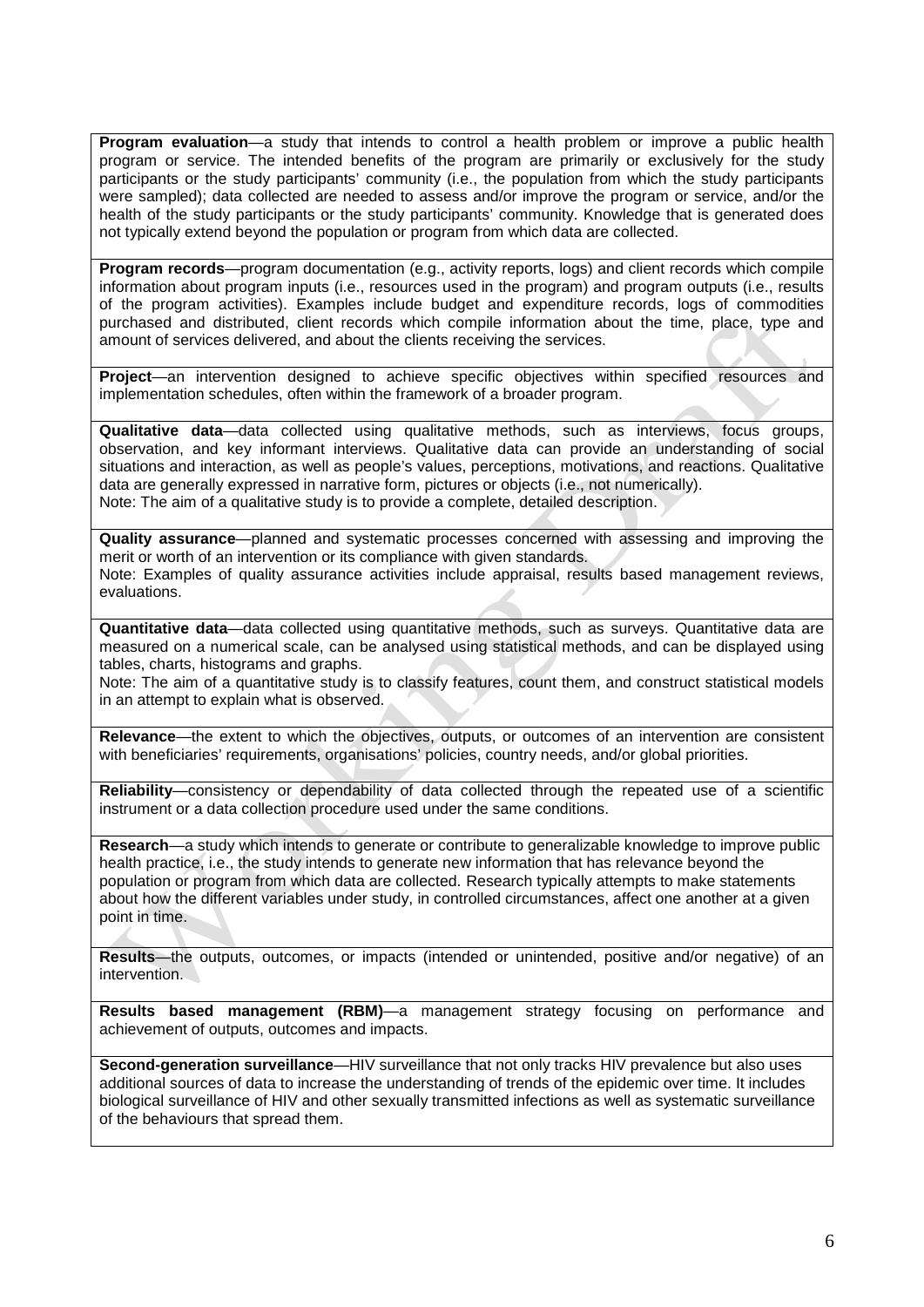**Program evaluation**—a study that intends to control a health problem or improve a public health program or service. The intended benefits of the program are primarily or exclusively for the study participants or the study participants' community (i.e., the population from which the study participants were sampled); data collected are needed to assess and/or improve the program or service, and/or the health of the study participants or the study participants' community. Knowledge that is generated does not typically extend beyond the population or program from which data are collected.

**Program records**—program documentation (e.g., activity reports, logs) and client records which compile information about program inputs (i.e., resources used in the program) and program outputs (i.e., results of the program activities). Examples include budget and expenditure records, logs of commodities purchased and distributed, client records which compile information about the time, place, type and amount of services delivered, and about the clients receiving the services.

**Project**—an intervention designed to achieve specific objectives within specified resources and implementation schedules, often within the framework of a broader program.

**Qualitative data**—data collected using qualitative methods, such as interviews, focus groups, observation, and key informant interviews. Qualitative data can provide an understanding of social situations and interaction, as well as people's values, perceptions, motivations, and reactions. Qualitative data are generally expressed in narrative form, pictures or objects (i.e., not numerically). Note: The aim of a qualitative study is to provide a complete, detailed description.

**Quality assurance**—planned and systematic processes concerned with assessing and improving the merit or worth of an intervention or its compliance with given standards. Note: Examples of quality assurance activities include appraisal, results based management reviews, evaluations.

**Quantitative data**—data collected using quantitative methods, such as surveys. Quantitative data are measured on a numerical scale, can be analysed using statistical methods, and can be displayed using tables, charts, histograms and graphs.

Note: The aim of a quantitative study is to classify features, count them, and construct statistical models in an attempt to explain what is observed.

**Relevance**—the extent to which the objectives, outputs, or outcomes of an intervention are consistent with beneficiaries' requirements, organisations' policies, country needs, and/or global priorities.

**Reliability**—consistency or dependability of data collected through the repeated use of a scientific instrument or a data collection procedure used under the same conditions.

**Research**—a study which intends to generate or contribute to generalizable knowledge to improve public health practice, i.e., the study intends to generate new information that has relevance beyond the population or program from which data are collected. Research typically attempts to make statements about how the different variables under study, in controlled circumstances, affect one another at a given point in time.

**Results**—the outputs, outcomes, or impacts (intended or unintended, positive and/or negative) of an intervention.

**Results based management (RBM)**—a management strategy focusing on performance and achievement of outputs, outcomes and impacts.

**Second-generation surveillance**—HIV surveillance that not only tracks HIV prevalence but also uses additional sources of data to increase the understanding of trends of the epidemic over time. It includes biological surveillance of HIV and other sexually transmitted infections as well as systematic surveillance of the behaviours that spread them.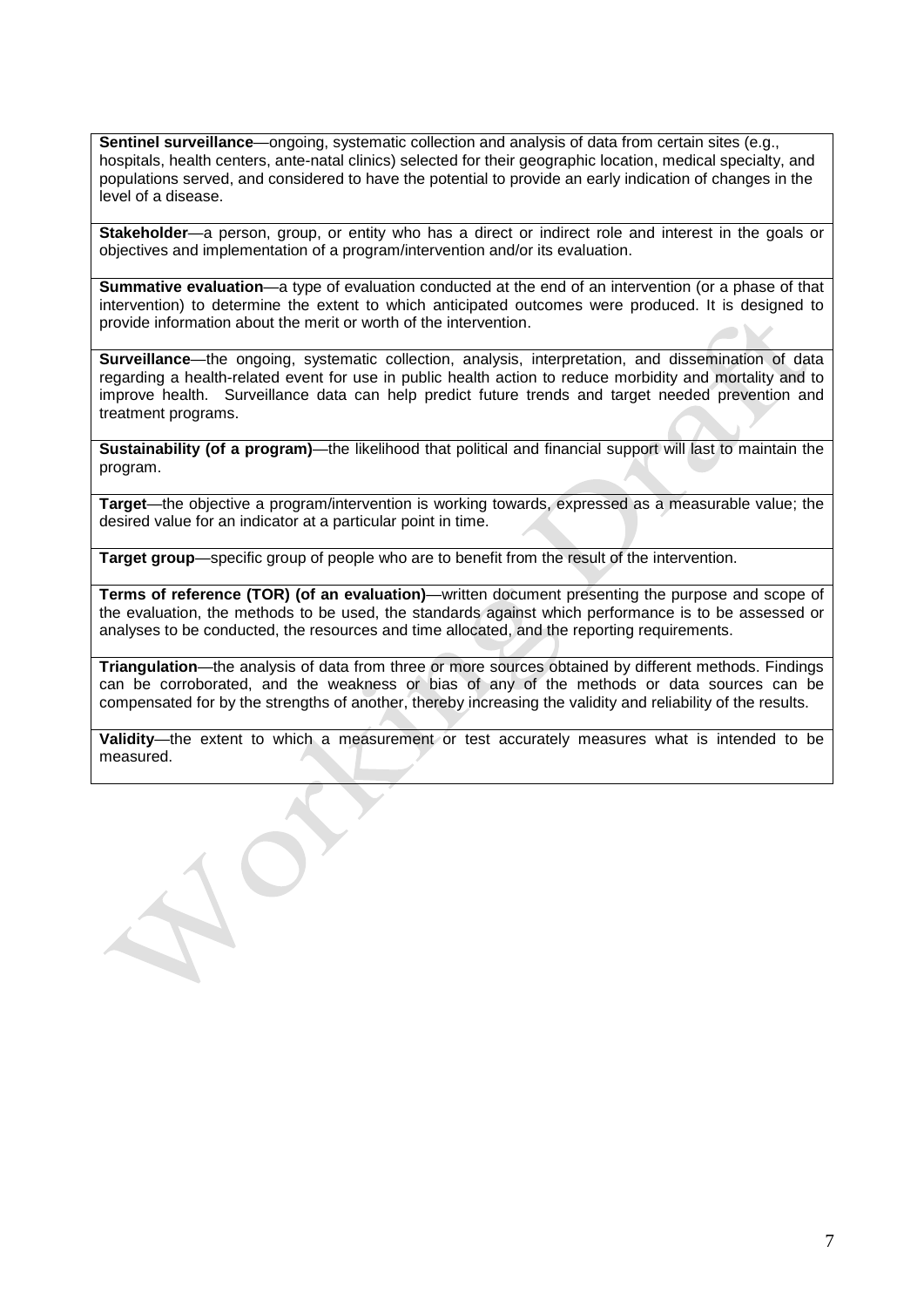**Sentinel surveillance**—ongoing, systematic collection and analysis of data from certain sites (e.g., hospitals, health centers, ante-natal clinics) selected for their geographic location, medical specialty, and populations served, and considered to have the potential to provide an early indication of changes in the level of a disease.

**Stakeholder**—a person, group, or entity who has a direct or indirect role and interest in the goals or objectives and implementation of a program/intervention and/or its evaluation.

**Summative evaluation**—a type of evaluation conducted at the end of an intervention (or a phase of that intervention) to determine the extent to which anticipated outcomes were produced. It is designed to provide information about the merit or worth of the intervention.

**Surveillance**—the ongoing, systematic collection, analysis, interpretation, and dissemination of data regarding a health-related event for use in public health action to reduce morbidity and mortality and to improve health. Surveillance data can help predict future trends and target needed prevention and treatment programs.

**Sustainability (of a program)**—the likelihood that political and financial support will last to maintain the program.

**Target**—the objective a program/intervention is working towards, expressed as a measurable value; the desired value for an indicator at a particular point in time.

**Target group**—specific group of people who are to benefit from the result of the intervention.

**Terms of reference (TOR) (of an evaluation)**—written document presenting the purpose and scope of the evaluation, the methods to be used, the standards against which performance is to be assessed or analyses to be conducted, the resources and time allocated, and the reporting requirements.

**Triangulation**—the analysis of data from three or more sources obtained by different methods. Findings can be corroborated, and the weakness or bias of any of the methods or data sources can be compensated for by the strengths of another, thereby increasing the validity and reliability of the results.

**Validity**—the extent to which a measurement or test accurately measures what is intended to be measured.